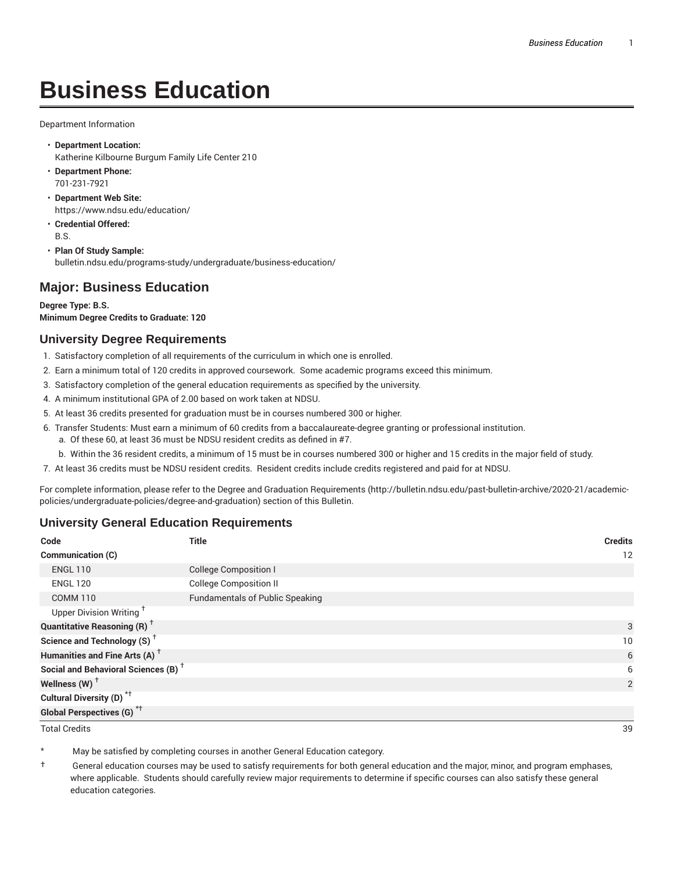# **Business Education**

Department Information

- **Department Location:** Katherine Kilbourne Burgum Family Life Center 210
- **Department Phone:** 701-231-7921
- **Department Web Site:** https://www.ndsu.edu/education/
- **Credential Offered:** B.S.
- **Plan Of Study Sample:** bulletin.ndsu.edu/programs-study/undergraduate/business-education/

## **Major: Business Education**

**Degree Type: B.S. Minimum Degree Credits to Graduate: 120**

## **University Degree Requirements**

- 1. Satisfactory completion of all requirements of the curriculum in which one is enrolled.
- 2. Earn a minimum total of 120 credits in approved coursework. Some academic programs exceed this minimum.
- 3. Satisfactory completion of the general education requirements as specified by the university.
- 4. A minimum institutional GPA of 2.00 based on work taken at NDSU.
- 5. At least 36 credits presented for graduation must be in courses numbered 300 or higher.
- 6. Transfer Students: Must earn a minimum of 60 credits from a baccalaureate-degree granting or professional institution.
	- a. Of these 60, at least 36 must be NDSU resident credits as defined in #7.
	- b. Within the 36 resident credits, a minimum of 15 must be in courses numbered 300 or higher and 15 credits in the major field of study.
- 7. At least 36 credits must be NDSU resident credits. Resident credits include credits registered and paid for at NDSU.

For complete information, please refer to the Degree and Graduation Requirements (http://bulletin.ndsu.edu/past-bulletin-archive/2020-21/academicpolicies/undergraduate-policies/degree-and-graduation) section of this Bulletin.

### **University General Education Requirements**

| Code                                            | <b>Title</b>                           | <b>Credits</b>    |
|-------------------------------------------------|----------------------------------------|-------------------|
| Communication (C)                               |                                        | $12 \overline{ }$ |
| <b>ENGL 110</b>                                 | <b>College Composition I</b>           |                   |
| <b>ENGL 120</b>                                 | <b>College Composition II</b>          |                   |
| <b>COMM 110</b>                                 | <b>Fundamentals of Public Speaking</b> |                   |
| Upper Division Writing <sup>+</sup>             |                                        |                   |
| <b>Quantitative Reasoning (R)</b> <sup>†</sup>  |                                        | 3                 |
| Science and Technology (S) <sup>+</sup>         |                                        | 10                |
| Humanities and Fine Arts (A) <sup>+</sup>       |                                        | 6                 |
| Social and Behavioral Sciences (B) <sup>+</sup> |                                        | 6                 |
| Wellness (W) $^{\dagger}$                       |                                        | 2                 |
| Cultural Diversity (D) <sup>*†</sup>            |                                        |                   |
| <b>Global Perspectives (G)</b> <sup>*†</sup>    |                                        |                   |
| <b>Total Credits</b>                            |                                        | 39                |

May be satisfied by completing courses in another General Education category.

† General education courses may be used to satisfy requirements for both general education and the major, minor, and program emphases, where applicable. Students should carefully review major requirements to determine if specific courses can also satisfy these general education categories.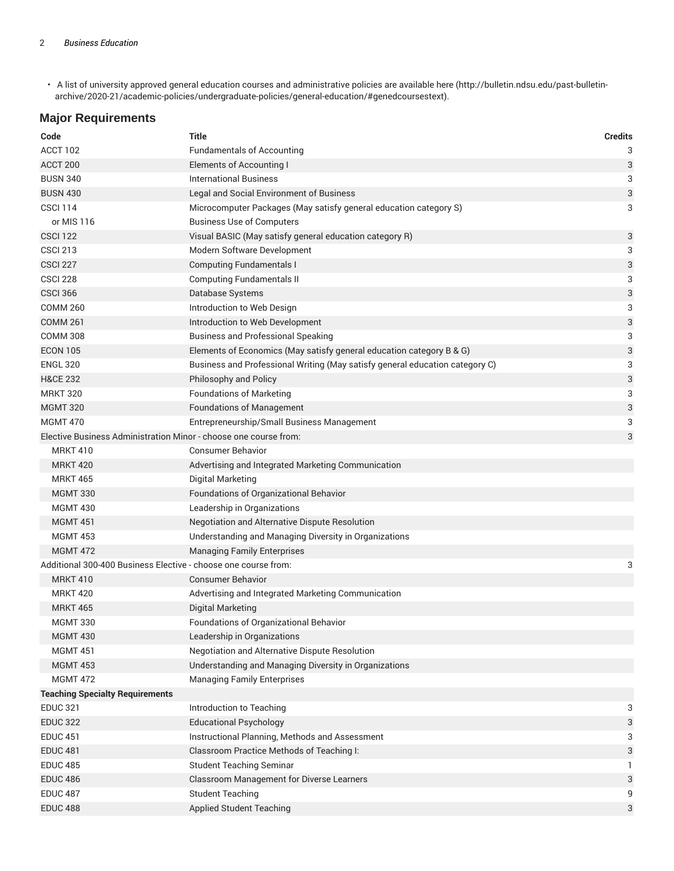• A list of university approved general education courses and administrative policies are available here (http://bulletin.ndsu.edu/past-bulletinarchive/2020-21/academic-policies/undergraduate-policies/general-education/#genedcoursestext).

## **Major Requirements**

| Code                                                                | <b>Title</b>                                                                 | <b>Credits</b> |  |
|---------------------------------------------------------------------|------------------------------------------------------------------------------|----------------|--|
| ACCT 102                                                            | <b>Fundamentals of Accounting</b>                                            | 3              |  |
| ACCT 200                                                            | <b>Elements of Accounting I</b>                                              | 3              |  |
| <b>BUSN 340</b>                                                     | <b>International Business</b>                                                | 3              |  |
| <b>BUSN 430</b>                                                     | Legal and Social Environment of Business                                     | 3              |  |
| <b>CSCI 114</b>                                                     | Microcomputer Packages (May satisfy general education category S)            | 3              |  |
| or MIS 116                                                          | <b>Business Use of Computers</b>                                             |                |  |
| <b>CSCI 122</b>                                                     | Visual BASIC (May satisfy general education category R)                      | 3              |  |
| <b>CSCI 213</b>                                                     | Modern Software Development                                                  | 3              |  |
| <b>CSCI 227</b>                                                     | <b>Computing Fundamentals I</b>                                              | 3              |  |
| <b>CSCI 228</b>                                                     | <b>Computing Fundamentals II</b>                                             | 3              |  |
| <b>CSCI 366</b>                                                     | Database Systems                                                             | 3              |  |
| <b>COMM 260</b>                                                     | Introduction to Web Design                                                   | 3              |  |
| <b>COMM 261</b>                                                     | Introduction to Web Development                                              | 3              |  |
| <b>COMM 308</b>                                                     | <b>Business and Professional Speaking</b>                                    | 3              |  |
| <b>ECON 105</b>                                                     | Elements of Economics (May satisfy general education category B & G)         | 3              |  |
| <b>ENGL 320</b>                                                     | Business and Professional Writing (May satisfy general education category C) | 3              |  |
| <b>H&amp;CE 232</b>                                                 | Philosophy and Policy                                                        | 3              |  |
| <b>MRKT 320</b>                                                     | <b>Foundations of Marketing</b>                                              | 3              |  |
| <b>MGMT 320</b>                                                     | <b>Foundations of Management</b>                                             | 3              |  |
| <b>MGMT 470</b>                                                     | Entrepreneurship/Small Business Management                                   | 3              |  |
| Elective Business Administration Minor - choose one course from:    |                                                                              | 3              |  |
| <b>MRKT 410</b>                                                     | <b>Consumer Behavior</b>                                                     |                |  |
| <b>MRKT 420</b>                                                     | Advertising and Integrated Marketing Communication                           |                |  |
| <b>MRKT 465</b>                                                     | Digital Marketing                                                            |                |  |
| <b>MGMT 330</b>                                                     | Foundations of Organizational Behavior                                       |                |  |
| <b>MGMT 430</b>                                                     | Leadership in Organizations                                                  |                |  |
| <b>MGMT 451</b>                                                     | Negotiation and Alternative Dispute Resolution                               |                |  |
| <b>MGMT 453</b>                                                     | Understanding and Managing Diversity in Organizations                        |                |  |
| <b>MGMT 472</b>                                                     | <b>Managing Family Enterprises</b>                                           |                |  |
| Additional 300-400 Business Elective - choose one course from:<br>3 |                                                                              |                |  |
| <b>MRKT 410</b>                                                     | <b>Consumer Behavior</b>                                                     |                |  |
| <b>MRKT 420</b>                                                     | Advertising and Integrated Marketing Communication                           |                |  |
| <b>MRKT 465</b>                                                     | Digital Marketing                                                            |                |  |
| <b>MGMT 330</b>                                                     | Foundations of Organizational Behavior                                       |                |  |
| <b>MGMT 430</b>                                                     | Leadership in Organizations                                                  |                |  |
| <b>MGMT 451</b>                                                     | Negotiation and Alternative Dispute Resolution                               |                |  |
| <b>MGMT 453</b>                                                     | Understanding and Managing Diversity in Organizations                        |                |  |
| <b>MGMT 472</b>                                                     | <b>Managing Family Enterprises</b>                                           |                |  |
| <b>Teaching Specialty Requirements</b>                              |                                                                              |                |  |
| <b>EDUC 321</b>                                                     | Introduction to Teaching                                                     | 3              |  |
| <b>EDUC 322</b>                                                     | <b>Educational Psychology</b>                                                | 3              |  |
| <b>EDUC 451</b>                                                     | Instructional Planning, Methods and Assessment                               | 3              |  |
| <b>EDUC 481</b>                                                     | Classroom Practice Methods of Teaching I:                                    | 3              |  |
| <b>EDUC 485</b>                                                     | <b>Student Teaching Seminar</b>                                              | 1.             |  |
| <b>EDUC 486</b>                                                     | <b>Classroom Management for Diverse Learners</b>                             | 3              |  |
| <b>EDUC 487</b>                                                     | <b>Student Teaching</b>                                                      | 9              |  |
| <b>EDUC 488</b>                                                     | <b>Applied Student Teaching</b>                                              | 3              |  |